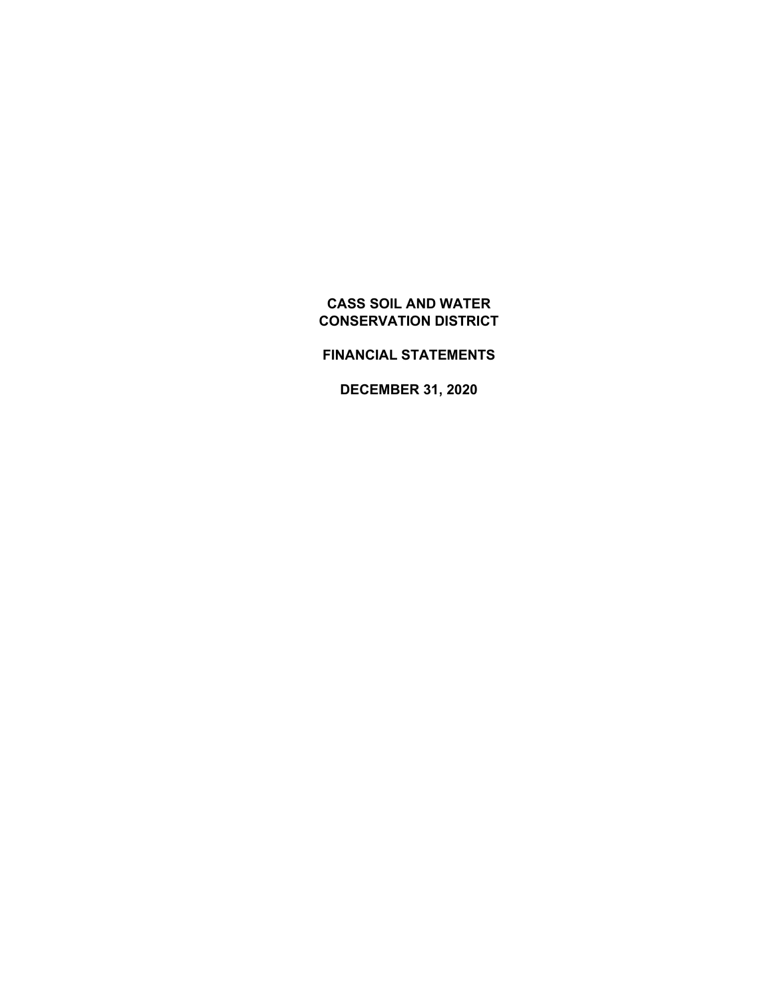# **CASS SOIL AND WATER CONSERVATION DISTRICT**

**FINANCIAL STATEMENTS**

**DECEMBER 31, 2020**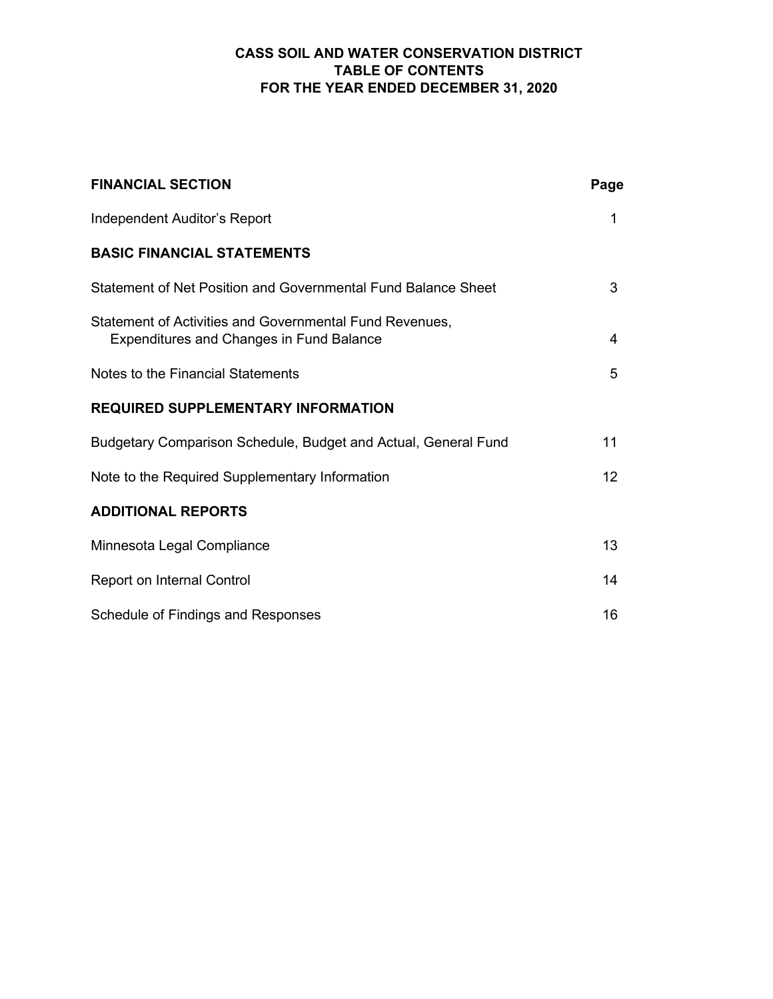## **CASS SOIL AND WATER CONSERVATION DISTRICT TABLE OF CONTENTS FOR THE YEAR ENDED DECEMBER 31, 2020**

| <b>FINANCIAL SECTION</b>                                                                                   | Page              |
|------------------------------------------------------------------------------------------------------------|-------------------|
| Independent Auditor's Report                                                                               | 1                 |
| <b>BASIC FINANCIAL STATEMENTS</b>                                                                          |                   |
| Statement of Net Position and Governmental Fund Balance Sheet                                              | 3                 |
| Statement of Activities and Governmental Fund Revenues,<br><b>Expenditures and Changes in Fund Balance</b> | 4                 |
| Notes to the Financial Statements                                                                          | 5                 |
| <b>REQUIRED SUPPLEMENTARY INFORMATION</b>                                                                  |                   |
| Budgetary Comparison Schedule, Budget and Actual, General Fund                                             | 11                |
| Note to the Required Supplementary Information                                                             | $12 \overline{ }$ |
| <b>ADDITIONAL REPORTS</b>                                                                                  |                   |
| Minnesota Legal Compliance                                                                                 | 13                |
| <b>Report on Internal Control</b>                                                                          | 14                |
| Schedule of Findings and Responses                                                                         | 16                |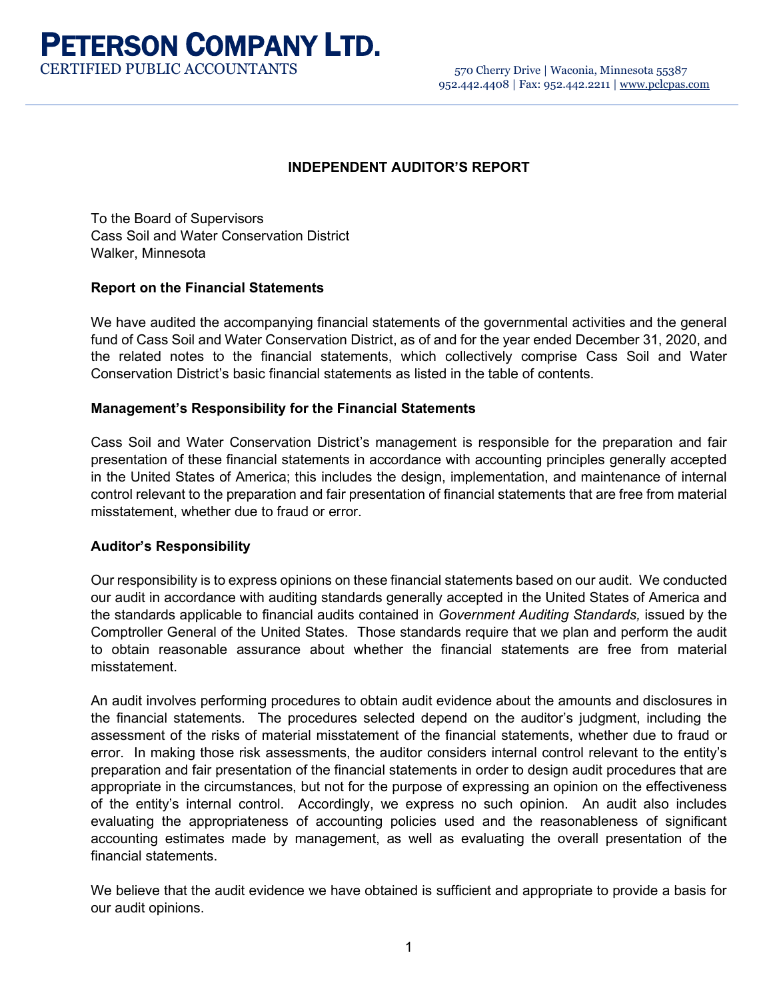**PETERSON COMPANY LTD.**<br>CERTIFIED PUBLIC ACCOUNTANTS 570 Cherry Drive | Waconia, Minnesota 55387 952.442.4408 | Fax: 952.442.2211 [| www.pclcpas.com](http://www.pclcpas.com/)

## **INDEPENDENT AUDITOR'S REPORT**

To the Board of Supervisors Cass Soil and Water Conservation District Walker, Minnesota

### **Report on the Financial Statements**

We have audited the accompanying financial statements of the governmental activities and the general fund of Cass Soil and Water Conservation District, as of and for the year ended December 31, 2020, and the related notes to the financial statements, which collectively comprise Cass Soil and Water Conservation District's basic financial statements as listed in the table of contents.

### **Management's Responsibility for the Financial Statements**

Cass Soil and Water Conservation District's management is responsible for the preparation and fair presentation of these financial statements in accordance with accounting principles generally accepted in the United States of America; this includes the design, implementation, and maintenance of internal control relevant to the preparation and fair presentation of financial statements that are free from material misstatement, whether due to fraud or error.

#### **Auditor's Responsibility**

Our responsibility is to express opinions on these financial statements based on our audit. We conducted our audit in accordance with auditing standards generally accepted in the United States of America and the standards applicable to financial audits contained in *Government Auditing Standards,* issued by the Comptroller General of the United States. Those standards require that we plan and perform the audit to obtain reasonable assurance about whether the financial statements are free from material misstatement.

An audit involves performing procedures to obtain audit evidence about the amounts and disclosures in the financial statements. The procedures selected depend on the auditor's judgment, including the assessment of the risks of material misstatement of the financial statements, whether due to fraud or error. In making those risk assessments, the auditor considers internal control relevant to the entity's preparation and fair presentation of the financial statements in order to design audit procedures that are appropriate in the circumstances, but not for the purpose of expressing an opinion on the effectiveness of the entity's internal control. Accordingly, we express no such opinion. An audit also includes evaluating the appropriateness of accounting policies used and the reasonableness of significant accounting estimates made by management, as well as evaluating the overall presentation of the financial statements.

We believe that the audit evidence we have obtained is sufficient and appropriate to provide a basis for our audit opinions.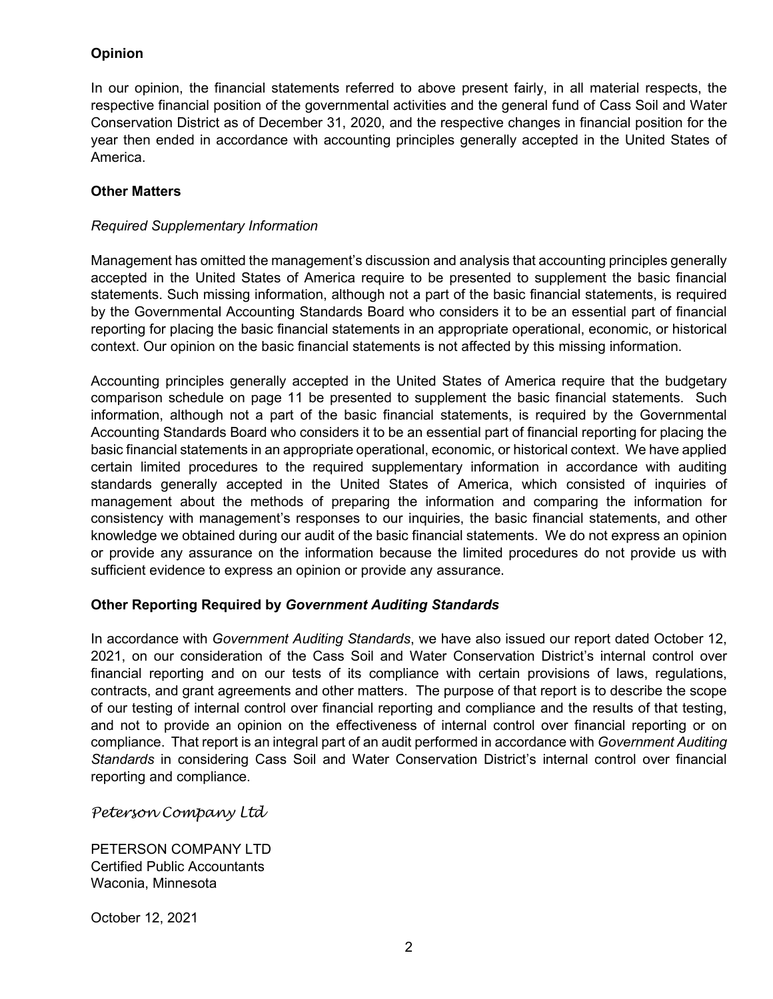## **Opinion**

In our opinion, the financial statements referred to above present fairly, in all material respects, the respective financial position of the governmental activities and the general fund of Cass Soil and Water Conservation District as of December 31, 2020, and the respective changes in financial position for the year then ended in accordance with accounting principles generally accepted in the United States of America.

## **Other Matters**

## *Required Supplementary Information*

Management has omitted the management's discussion and analysis that accounting principles generally accepted in the United States of America require to be presented to supplement the basic financial statements. Such missing information, although not a part of the basic financial statements, is required by the Governmental Accounting Standards Board who considers it to be an essential part of financial reporting for placing the basic financial statements in an appropriate operational, economic, or historical context. Our opinion on the basic financial statements is not affected by this missing information.

Accounting principles generally accepted in the United States of America require that the budgetary comparison schedule on page 11 be presented to supplement the basic financial statements. Such information, although not a part of the basic financial statements, is required by the Governmental Accounting Standards Board who considers it to be an essential part of financial reporting for placing the basic financial statements in an appropriate operational, economic, or historical context. We have applied certain limited procedures to the required supplementary information in accordance with auditing standards generally accepted in the United States of America, which consisted of inquiries of management about the methods of preparing the information and comparing the information for consistency with management's responses to our inquiries, the basic financial statements, and other knowledge we obtained during our audit of the basic financial statements. We do not express an opinion or provide any assurance on the information because the limited procedures do not provide us with sufficient evidence to express an opinion or provide any assurance.

## **Other Reporting Required by** *Government Auditing Standards*

In accordance with *Government Auditing Standards*, we have also issued our report dated October 12, 2021, on our consideration of the Cass Soil and Water Conservation District's internal control over financial reporting and on our tests of its compliance with certain provisions of laws, regulations, contracts, and grant agreements and other matters. The purpose of that report is to describe the scope of our testing of internal control over financial reporting and compliance and the results of that testing, and not to provide an opinion on the effectiveness of internal control over financial reporting or on compliance. That report is an integral part of an audit performed in accordance with *Government Auditing Standards* in considering Cass Soil and Water Conservation District's internal control over financial reporting and compliance.

*Peterson Company Ltd*

PETERSON COMPANY LTD Certified Public Accountants Waconia, Minnesota

October 12, 2021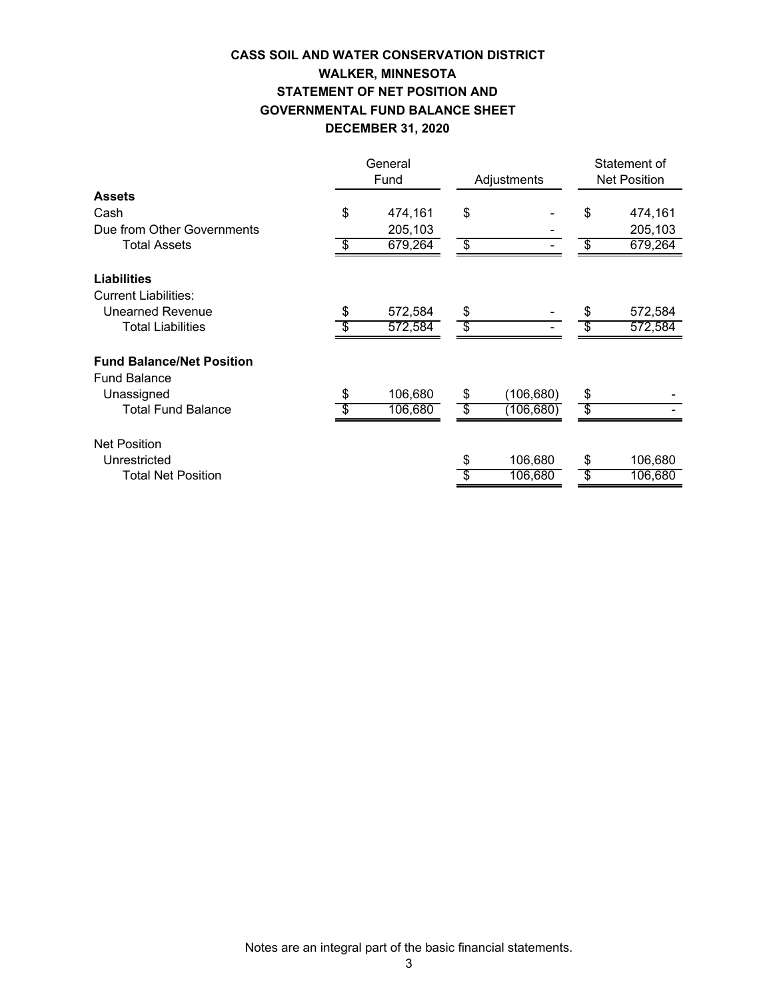# **CASS SOIL AND WATER CONSERVATION DISTRICT WALKER, MINNESOTA STATEMENT OF NET POSITION AND GOVERNMENTAL FUND BALANCE SHEET DECEMBER 31, 2020**

|                                  | General<br>Adjustments<br>Fund |         |    | Statement of<br><b>Net Position</b> |                          |         |
|----------------------------------|--------------------------------|---------|----|-------------------------------------|--------------------------|---------|
| <b>Assets</b>                    |                                |         |    |                                     |                          |         |
| Cash                             | \$                             | 474,161 | \$ |                                     | \$                       | 474,161 |
| Due from Other Governments       |                                | 205,103 |    |                                     |                          | 205,103 |
| <b>Total Assets</b>              | \$                             | 679,264 | \$ |                                     | \$                       | 679,264 |
| <b>Liabilities</b>               |                                |         |    |                                     |                          |         |
| <b>Current Liabilities:</b>      |                                |         |    |                                     |                          |         |
| <b>Unearned Revenue</b>          | \$                             | 572,584 | \$ |                                     |                          | 572,584 |
| <b>Total Liabilities</b>         | -\$                            | 572,584 | S  |                                     | \$                       | 572,584 |
| <b>Fund Balance/Net Position</b> |                                |         |    |                                     |                          |         |
| <b>Fund Balance</b>              |                                |         |    |                                     |                          |         |
| Unassigned                       | \$                             | 106,680 | \$ | (106, 680)                          | \$                       |         |
| <b>Total Fund Balance</b>        | \$                             | 106,680 | \$ | (106, 680)                          | $\overline{\mathcal{E}}$ |         |
| <b>Net Position</b>              |                                |         |    |                                     |                          |         |
| Unrestricted                     |                                |         | \$ | 106,680                             | \$                       | 106,680 |
| <b>Total Net Position</b>        |                                |         | \$ | 106,680                             | $\overline{\$}$          | 106,680 |

Notes are an integral part of the basic financial statements.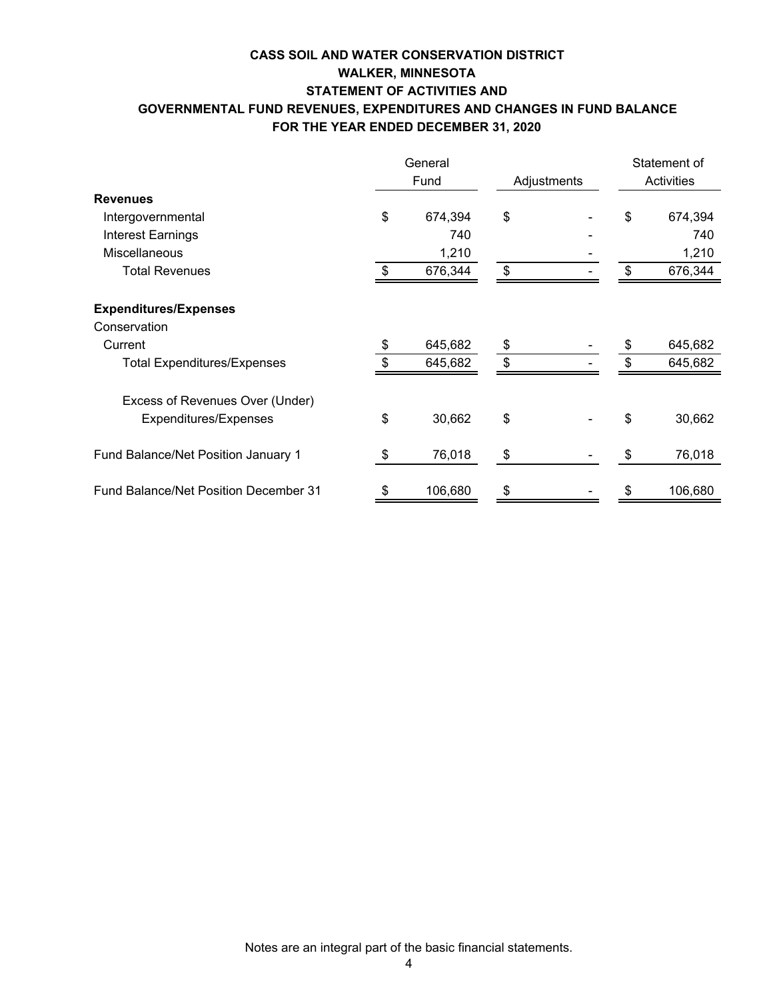## **CASS SOIL AND WATER CONSERVATION DISTRICT WALKER, MINNESOTA STATEMENT OF ACTIVITIES AND GOVERNMENTAL FUND REVENUES, EXPENDITURES AND CHANGES IN FUND BALANCE FOR THE YEAR ENDED DECEMBER 31, 2020**

|                                              | General<br>Fund | Adjustments | Statement of<br><b>Activities</b> |
|----------------------------------------------|-----------------|-------------|-----------------------------------|
| <b>Revenues</b>                              |                 |             |                                   |
|                                              |                 |             |                                   |
| Intergovernmental                            | \$<br>674,394   | \$          | \$<br>674,394                     |
| <b>Interest Earnings</b>                     | 740             |             | 740                               |
| Miscellaneous                                | 1,210           |             | 1,210                             |
| <b>Total Revenues</b>                        | \$<br>676,344   | \$          | \$<br>676,344                     |
| <b>Expenditures/Expenses</b>                 |                 |             |                                   |
| Conservation                                 |                 |             |                                   |
| Current                                      | \$<br>645,682   | \$          | 645,682                           |
| <b>Total Expenditures/Expenses</b>           | 645,682         | \$          | \$<br>645,682                     |
| Excess of Revenues Over (Under)              |                 |             |                                   |
| Expenditures/Expenses                        | \$<br>30,662    | \$          | \$<br>30,662                      |
| Fund Balance/Net Position January 1          | \$<br>76,018    | \$          | \$<br>76,018                      |
| <b>Fund Balance/Net Position December 31</b> | \$<br>106,680   | \$          | \$<br>106,680                     |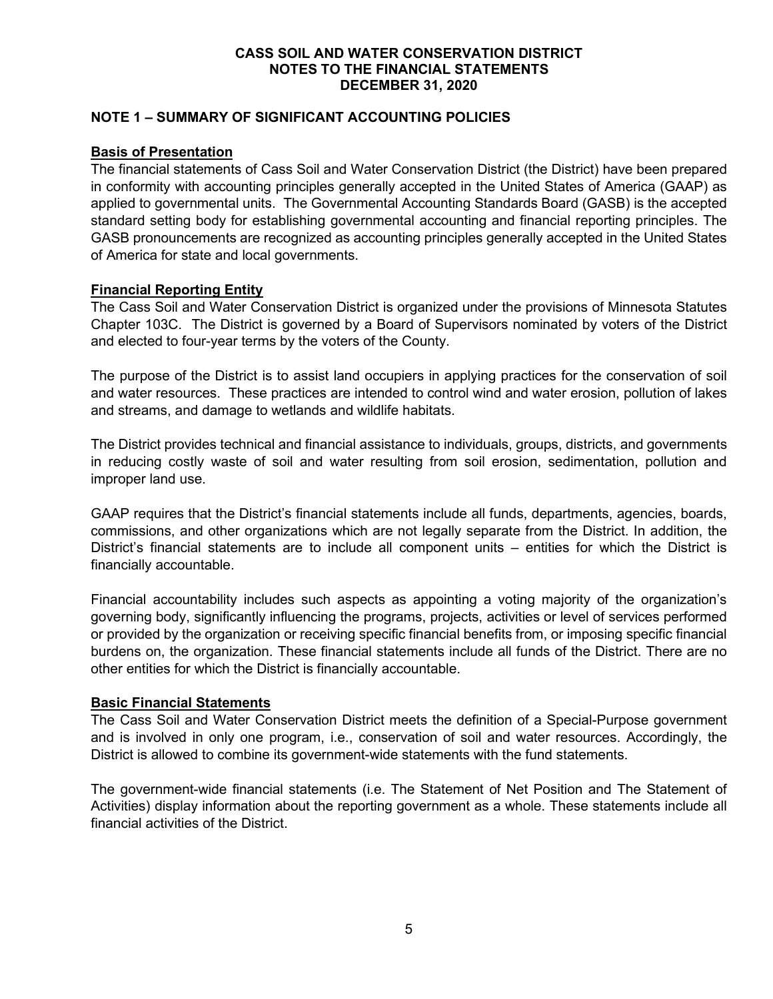## **NOTE 1 – SUMMARY OF SIGNIFICANT ACCOUNTING POLICIES**

#### **Basis of Presentation**

The financial statements of Cass Soil and Water Conservation District (the District) have been prepared in conformity with accounting principles generally accepted in the United States of America (GAAP) as applied to governmental units. The Governmental Accounting Standards Board (GASB) is the accepted standard setting body for establishing governmental accounting and financial reporting principles. The GASB pronouncements are recognized as accounting principles generally accepted in the United States of America for state and local governments.

### **Financial Reporting Entity**

The Cass Soil and Water Conservation District is organized under the provisions of Minnesota Statutes Chapter 103C. The District is governed by a Board of Supervisors nominated by voters of the District and elected to four-year terms by the voters of the County.

The purpose of the District is to assist land occupiers in applying practices for the conservation of soil and water resources. These practices are intended to control wind and water erosion, pollution of lakes and streams, and damage to wetlands and wildlife habitats.

The District provides technical and financial assistance to individuals, groups, districts, and governments in reducing costly waste of soil and water resulting from soil erosion, sedimentation, pollution and improper land use.

GAAP requires that the District's financial statements include all funds, departments, agencies, boards, commissions, and other organizations which are not legally separate from the District. In addition, the District's financial statements are to include all component units – entities for which the District is financially accountable.

Financial accountability includes such aspects as appointing a voting majority of the organization's governing body, significantly influencing the programs, projects, activities or level of services performed or provided by the organization or receiving specific financial benefits from, or imposing specific financial burdens on, the organization. These financial statements include all funds of the District. There are no other entities for which the District is financially accountable.

#### **Basic Financial Statements**

The Cass Soil and Water Conservation District meets the definition of a Special-Purpose government and is involved in only one program, i.e., conservation of soil and water resources. Accordingly, the District is allowed to combine its government-wide statements with the fund statements.

The government-wide financial statements (i.e. The Statement of Net Position and The Statement of Activities) display information about the reporting government as a whole. These statements include all financial activities of the District.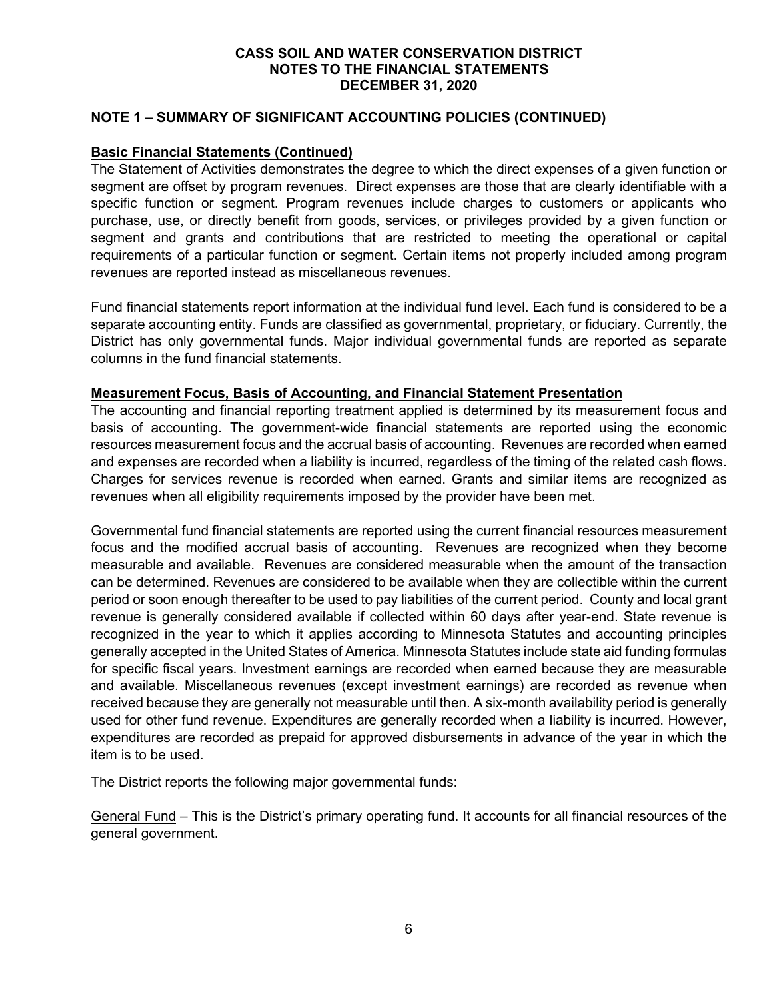### **NOTE 1 – SUMMARY OF SIGNIFICANT ACCOUNTING POLICIES (CONTINUED)**

#### **Basic Financial Statements (Continued)**

The Statement of Activities demonstrates the degree to which the direct expenses of a given function or segment are offset by program revenues. Direct expenses are those that are clearly identifiable with a specific function or segment. Program revenues include charges to customers or applicants who purchase, use, or directly benefit from goods, services, or privileges provided by a given function or segment and grants and contributions that are restricted to meeting the operational or capital requirements of a particular function or segment. Certain items not properly included among program revenues are reported instead as miscellaneous revenues.

Fund financial statements report information at the individual fund level. Each fund is considered to be a separate accounting entity. Funds are classified as governmental, proprietary, or fiduciary. Currently, the District has only governmental funds. Major individual governmental funds are reported as separate columns in the fund financial statements.

#### **Measurement Focus, Basis of Accounting, and Financial Statement Presentation**

The accounting and financial reporting treatment applied is determined by its measurement focus and basis of accounting. The government-wide financial statements are reported using the economic resources measurement focus and the accrual basis of accounting. Revenues are recorded when earned and expenses are recorded when a liability is incurred, regardless of the timing of the related cash flows. Charges for services revenue is recorded when earned. Grants and similar items are recognized as revenues when all eligibility requirements imposed by the provider have been met.

Governmental fund financial statements are reported using the current financial resources measurement focus and the modified accrual basis of accounting. Revenues are recognized when they become measurable and available. Revenues are considered measurable when the amount of the transaction can be determined. Revenues are considered to be available when they are collectible within the current period or soon enough thereafter to be used to pay liabilities of the current period. County and local grant revenue is generally considered available if collected within 60 days after year-end. State revenue is recognized in the year to which it applies according to Minnesota Statutes and accounting principles generally accepted in the United States of America. Minnesota Statutes include state aid funding formulas for specific fiscal years. Investment earnings are recorded when earned because they are measurable and available. Miscellaneous revenues (except investment earnings) are recorded as revenue when received because they are generally not measurable until then. A six-month availability period is generally used for other fund revenue. Expenditures are generally recorded when a liability is incurred. However, expenditures are recorded as prepaid for approved disbursements in advance of the year in which the item is to be used.

The District reports the following major governmental funds:

General Fund – This is the District's primary operating fund. It accounts for all financial resources of the general government.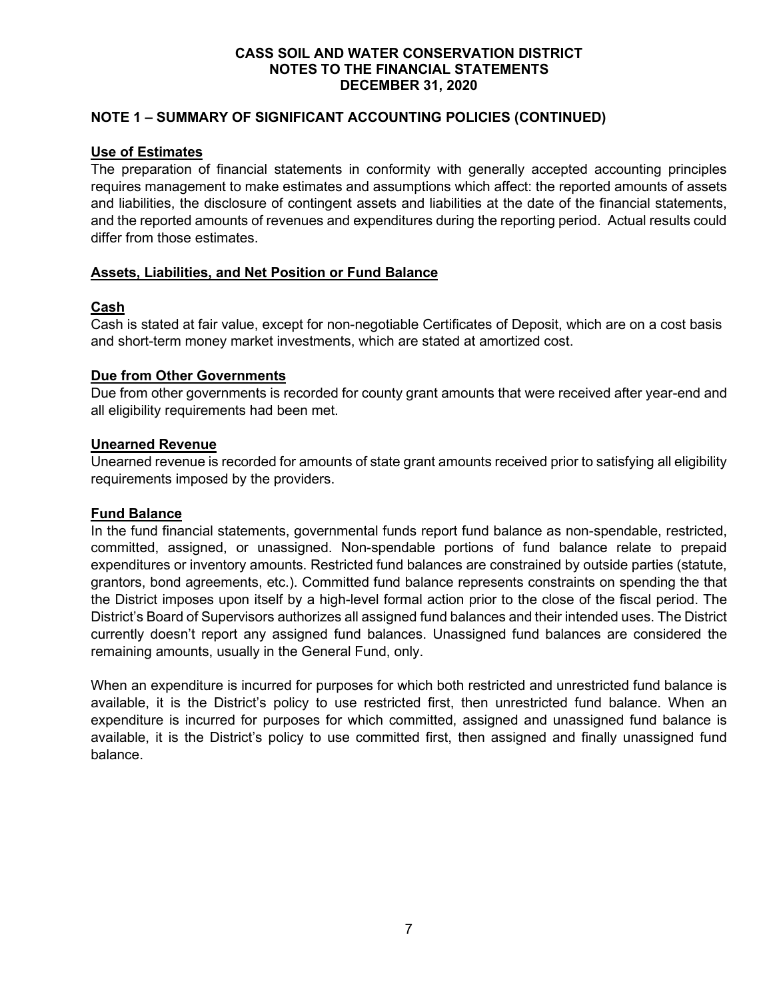## **NOTE 1 – SUMMARY OF SIGNIFICANT ACCOUNTING POLICIES (CONTINUED)**

#### **Use of Estimates**

The preparation of financial statements in conformity with generally accepted accounting principles requires management to make estimates and assumptions which affect: the reported amounts of assets and liabilities, the disclosure of contingent assets and liabilities at the date of the financial statements, and the reported amounts of revenues and expenditures during the reporting period. Actual results could differ from those estimates.

#### **Assets, Liabilities, and Net Position or Fund Balance**

## **Cash**

Cash is stated at fair value, except for non-negotiable Certificates of Deposit, which are on a cost basis and short-term money market investments, which are stated at amortized cost.

#### **Due from Other Governments**

Due from other governments is recorded for county grant amounts that were received after year-end and all eligibility requirements had been met.

#### **Unearned Revenue**

Unearned revenue is recorded for amounts of state grant amounts received prior to satisfying all eligibility requirements imposed by the providers.

#### **Fund Balance**

In the fund financial statements, governmental funds report fund balance as non-spendable, restricted, committed, assigned, or unassigned. Non-spendable portions of fund balance relate to prepaid expenditures or inventory amounts. Restricted fund balances are constrained by outside parties (statute, grantors, bond agreements, etc.). Committed fund balance represents constraints on spending the that the District imposes upon itself by a high-level formal action prior to the close of the fiscal period. The District's Board of Supervisors authorizes all assigned fund balances and their intended uses. The District currently doesn't report any assigned fund balances. Unassigned fund balances are considered the remaining amounts, usually in the General Fund, only.

When an expenditure is incurred for purposes for which both restricted and unrestricted fund balance is available, it is the District's policy to use restricted first, then unrestricted fund balance. When an expenditure is incurred for purposes for which committed, assigned and unassigned fund balance is available, it is the District's policy to use committed first, then assigned and finally unassigned fund balance.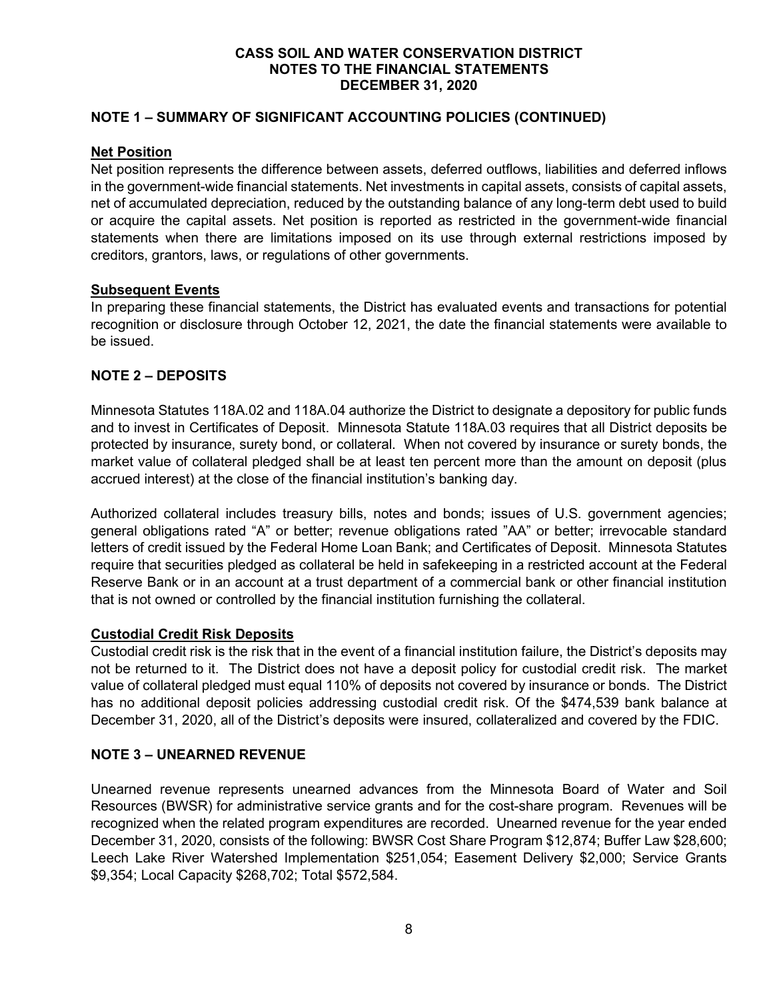## **NOTE 1 – SUMMARY OF SIGNIFICANT ACCOUNTING POLICIES (CONTINUED)**

#### **Net Position**

Net position represents the difference between assets, deferred outflows, liabilities and deferred inflows in the government-wide financial statements. Net investments in capital assets, consists of capital assets, net of accumulated depreciation, reduced by the outstanding balance of any long-term debt used to build or acquire the capital assets. Net position is reported as restricted in the government-wide financial statements when there are limitations imposed on its use through external restrictions imposed by creditors, grantors, laws, or regulations of other governments.

#### **Subsequent Events**

In preparing these financial statements, the District has evaluated events and transactions for potential recognition or disclosure through October 12, 2021, the date the financial statements were available to be issued.

### **NOTE 2 – DEPOSITS**

Minnesota Statutes 118A.02 and 118A.04 authorize the District to designate a depository for public funds and to invest in Certificates of Deposit. Minnesota Statute 118A.03 requires that all District deposits be protected by insurance, surety bond, or collateral. When not covered by insurance or surety bonds, the market value of collateral pledged shall be at least ten percent more than the amount on deposit (plus accrued interest) at the close of the financial institution's banking day.

Authorized collateral includes treasury bills, notes and bonds; issues of U.S. government agencies; general obligations rated "A" or better; revenue obligations rated "AA" or better; irrevocable standard letters of credit issued by the Federal Home Loan Bank; and Certificates of Deposit. Minnesota Statutes require that securities pledged as collateral be held in safekeeping in a restricted account at the Federal Reserve Bank or in an account at a trust department of a commercial bank or other financial institution that is not owned or controlled by the financial institution furnishing the collateral.

#### **Custodial Credit Risk Deposits**

Custodial credit risk is the risk that in the event of a financial institution failure, the District's deposits may not be returned to it. The District does not have a deposit policy for custodial credit risk. The market value of collateral pledged must equal 110% of deposits not covered by insurance or bonds. The District has no additional deposit policies addressing custodial credit risk. Of the \$474,539 bank balance at December 31, 2020, all of the District's deposits were insured, collateralized and covered by the FDIC.

#### **NOTE 3 – UNEARNED REVENUE**

Unearned revenue represents unearned advances from the Minnesota Board of Water and Soil Resources (BWSR) for administrative service grants and for the cost-share program. Revenues will be recognized when the related program expenditures are recorded. Unearned revenue for the year ended December 31, 2020, consists of the following: BWSR Cost Share Program \$12,874; Buffer Law \$28,600; Leech Lake River Watershed Implementation \$251,054; Easement Delivery \$2,000; Service Grants \$9,354; Local Capacity \$268,702; Total \$572,584.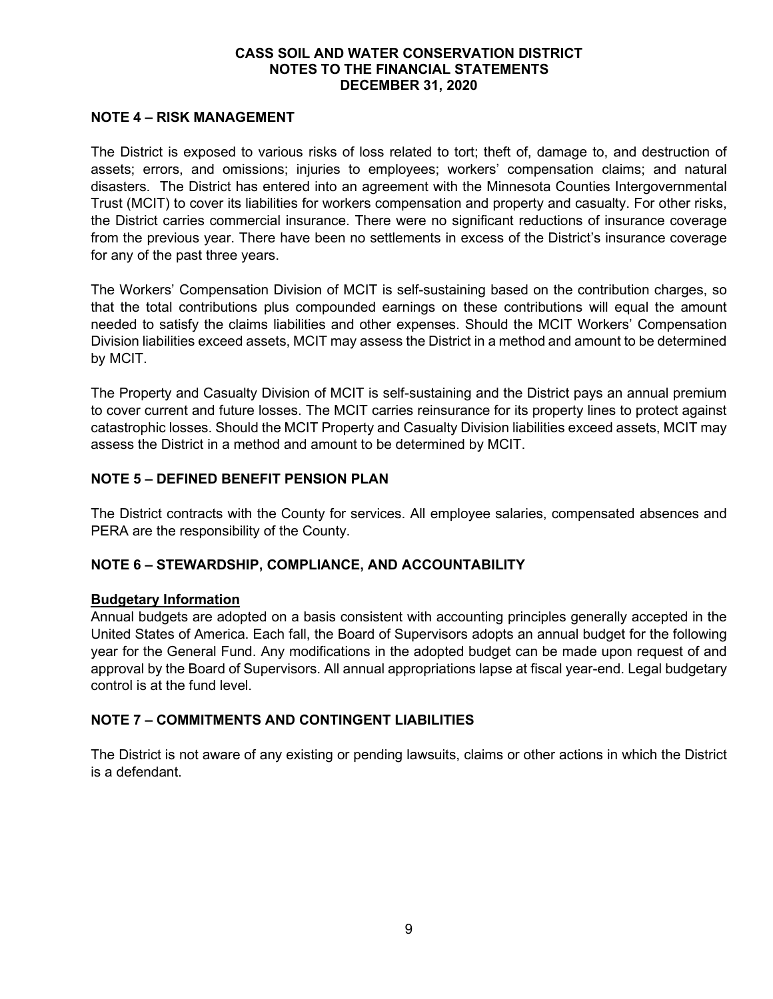## **NOTE 4 – RISK MANAGEMENT**

The District is exposed to various risks of loss related to tort; theft of, damage to, and destruction of assets; errors, and omissions; injuries to employees; workers' compensation claims; and natural disasters. The District has entered into an agreement with the Minnesota Counties Intergovernmental Trust (MCIT) to cover its liabilities for workers compensation and property and casualty. For other risks, the District carries commercial insurance. There were no significant reductions of insurance coverage from the previous year. There have been no settlements in excess of the District's insurance coverage for any of the past three years.

The Workers' Compensation Division of MCIT is self-sustaining based on the contribution charges, so that the total contributions plus compounded earnings on these contributions will equal the amount needed to satisfy the claims liabilities and other expenses. Should the MCIT Workers' Compensation Division liabilities exceed assets, MCIT may assess the District in a method and amount to be determined by MCIT.

The Property and Casualty Division of MCIT is self-sustaining and the District pays an annual premium to cover current and future losses. The MCIT carries reinsurance for its property lines to protect against catastrophic losses. Should the MCIT Property and Casualty Division liabilities exceed assets, MCIT may assess the District in a method and amount to be determined by MCIT.

## **NOTE 5 – DEFINED BENEFIT PENSION PLAN**

The District contracts with the County for services. All employee salaries, compensated absences and PERA are the responsibility of the County.

## **NOTE 6 – STEWARDSHIP, COMPLIANCE, AND ACCOUNTABILITY**

### **Budgetary Information**

Annual budgets are adopted on a basis consistent with accounting principles generally accepted in the United States of America. Each fall, the Board of Supervisors adopts an annual budget for the following year for the General Fund. Any modifications in the adopted budget can be made upon request of and approval by the Board of Supervisors. All annual appropriations lapse at fiscal year-end. Legal budgetary control is at the fund level.

#### **NOTE 7 – COMMITMENTS AND CONTINGENT LIABILITIES**

The District is not aware of any existing or pending lawsuits, claims or other actions in which the District is a defendant.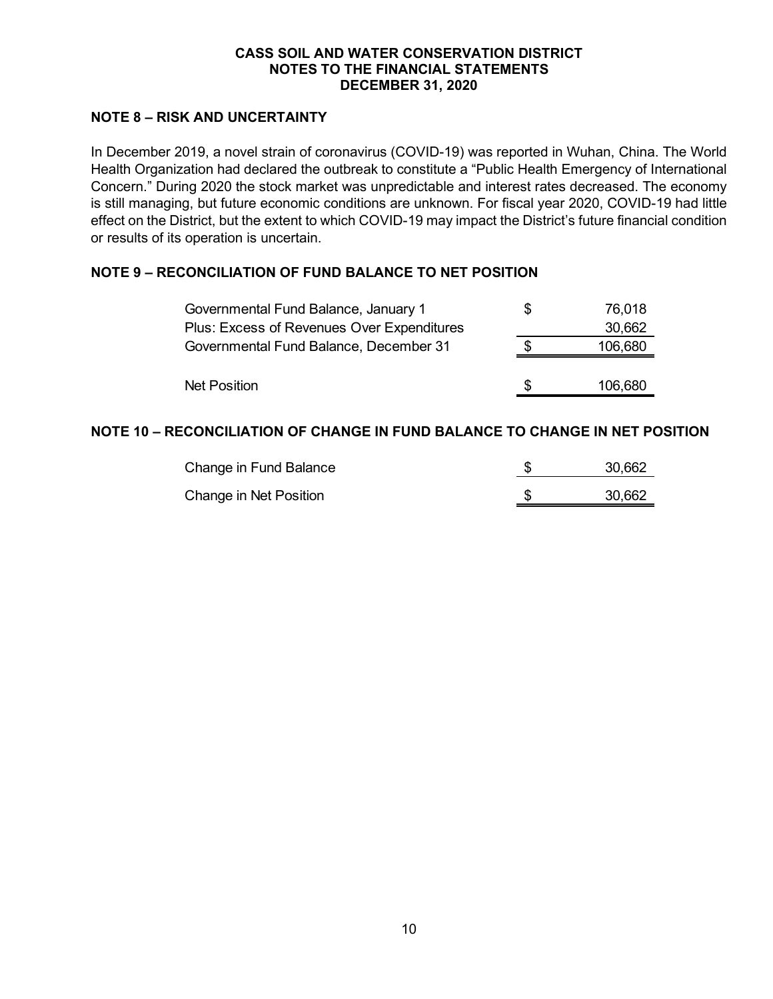## **NOTE 8 – RISK AND UNCERTAINTY**

In December 2019, a novel strain of coronavirus (COVID-19) was reported in Wuhan, China. The World Health Organization had declared the outbreak to constitute a "Public Health Emergency of International Concern." During 2020 the stock market was unpredictable and interest rates decreased. The economy is still managing, but future economic conditions are unknown. For fiscal year 2020, COVID-19 had little effect on the District, but the extent to which COVID-19 may impact the District's future financial condition or results of its operation is uncertain.

## **NOTE 9 – RECONCILIATION OF FUND BALANCE TO NET POSITION**

| Governmental Fund Balance, January 1       | \$<br>76,018 |
|--------------------------------------------|--------------|
| Plus: Excess of Revenues Over Expenditures | 30,662       |
| Governmental Fund Balance, December 31     | 106,680      |
|                                            |              |
| <b>Net Position</b>                        | 106,680      |
|                                            |              |

## **NOTE 10 – RECONCILIATION OF CHANGE IN FUND BALANCE TO CHANGE IN NET POSITION**

| Change in Fund Balance | 30,662 |
|------------------------|--------|
| Change in Net Position | 30,662 |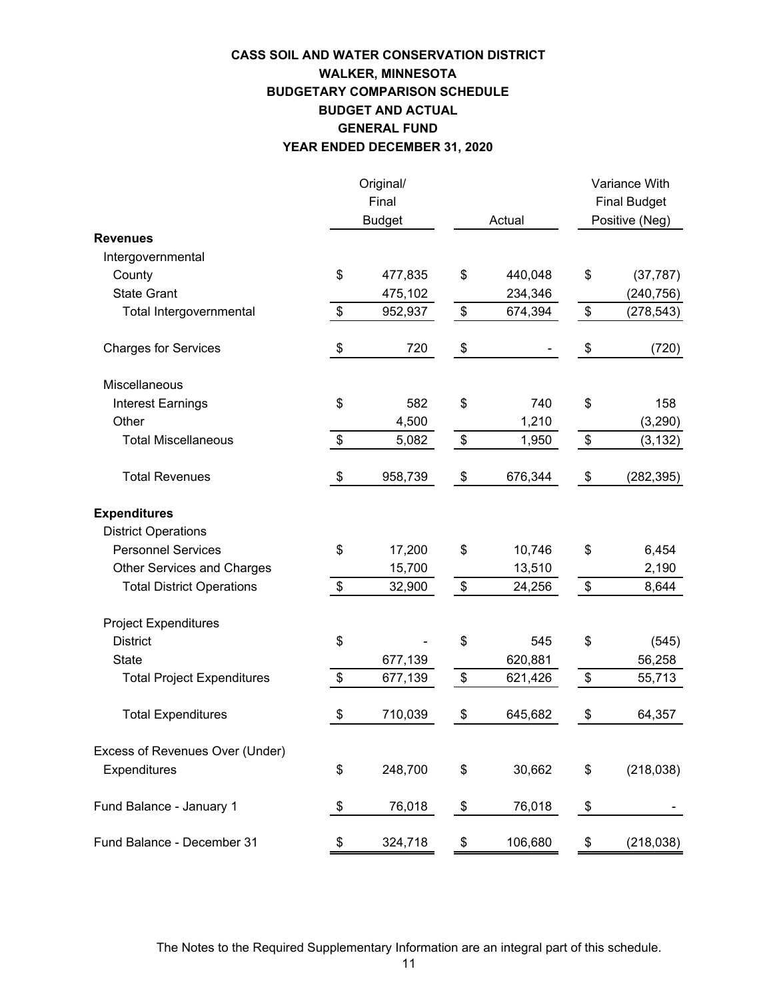# **CASS SOIL AND WATER CONSERVATION DISTRICT WALKER, MINNESOTA BUDGETARY COMPARISON SCHEDULE BUDGET AND ACTUAL GENERAL FUND YEAR ENDED DECEMBER 31, 2020**

|                                   | Original/              |         |        | Variance With |                |                     |
|-----------------------------------|------------------------|---------|--------|---------------|----------------|---------------------|
|                                   | Final<br><b>Budget</b> |         |        |               |                | <b>Final Budget</b> |
|                                   |                        |         | Actual |               | Positive (Neg) |                     |
| <b>Revenues</b>                   |                        |         |        |               |                |                     |
| Intergovernmental                 |                        |         |        |               |                |                     |
| County                            | \$                     | 477,835 | \$     | 440,048       | \$             | (37, 787)           |
| <b>State Grant</b>                |                        | 475,102 |        | 234,346       |                | (240, 756)          |
| Total Intergovernmental           | \$                     | 952,937 | \$     | 674,394       | \$             | (278, 543)          |
| <b>Charges for Services</b>       | $\boldsymbol{\theta}$  | 720     | \$     |               | \$             | (720)               |
| Miscellaneous                     |                        |         |        |               |                |                     |
| <b>Interest Earnings</b>          | \$                     | 582     | \$     | 740           | \$             | 158                 |
| Other                             |                        | 4,500   |        | 1,210         |                | (3, 290)            |
| <b>Total Miscellaneous</b>        | \$                     | 5,082   | \$     | 1,950         | \$             | (3, 132)            |
| <b>Total Revenues</b>             | \$                     | 958,739 | \$     | 676,344       | \$             | (282, 395)          |
| <b>Expenditures</b>               |                        |         |        |               |                |                     |
| <b>District Operations</b>        |                        |         |        |               |                |                     |
| <b>Personnel Services</b>         | \$                     | 17,200  | \$     | 10,746        | \$             | 6,454               |
| Other Services and Charges        |                        | 15,700  |        | 13,510        |                | 2,190               |
| <b>Total District Operations</b>  | \$                     | 32,900  | \$     | 24,256        | \$             | 8,644               |
| <b>Project Expenditures</b>       |                        |         |        |               |                |                     |
| <b>District</b>                   | \$                     |         | \$     | 545           | \$             | (545)               |
| <b>State</b>                      |                        | 677,139 |        | 620,881       |                | 56,258              |
| <b>Total Project Expenditures</b> | \$                     | 677,139 | \$     | 621,426       | \$             | 55,713              |
| <b>Total Expenditures</b>         | \$                     | 710,039 | \$     | 645,682       | \$             | 64,357              |
| Excess of Revenues Over (Under)   |                        |         |        |               |                |                     |
| Expenditures                      | \$                     | 248,700 | \$     | 30,662        | \$             | (218, 038)          |
| Fund Balance - January 1          | \$                     | 76,018  | \$     | 76,018        | \$             |                     |
| Fund Balance - December 31        | \$                     | 324,718 | \$     | 106,680       | \$             | (218, 038)          |

The Notes to the Required Supplementary Information are an integral part of this schedule.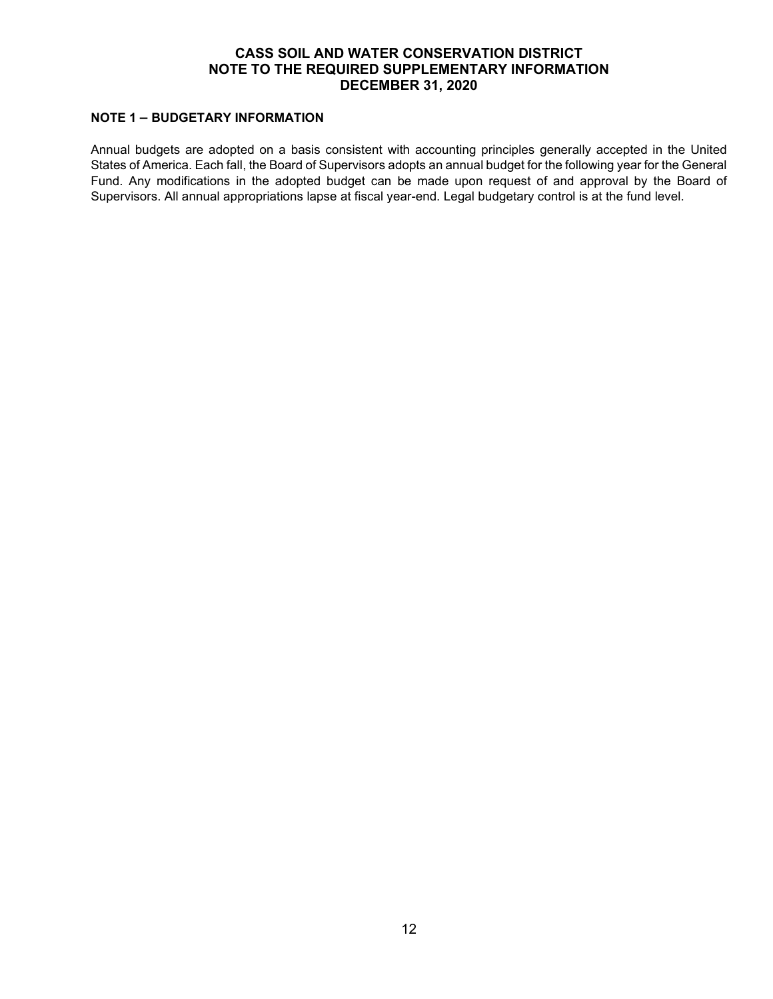## **CASS SOIL AND WATER CONSERVATION DISTRICT NOTE TO THE REQUIRED SUPPLEMENTARY INFORMATION DECEMBER 31, 2020**

## **NOTE 1 – BUDGETARY INFORMATION**

Annual budgets are adopted on a basis consistent with accounting principles generally accepted in the United States of America. Each fall, the Board of Supervisors adopts an annual budget for the following year for the General Fund. Any modifications in the adopted budget can be made upon request of and approval by the Board of Supervisors. All annual appropriations lapse at fiscal year-end. Legal budgetary control is at the fund level.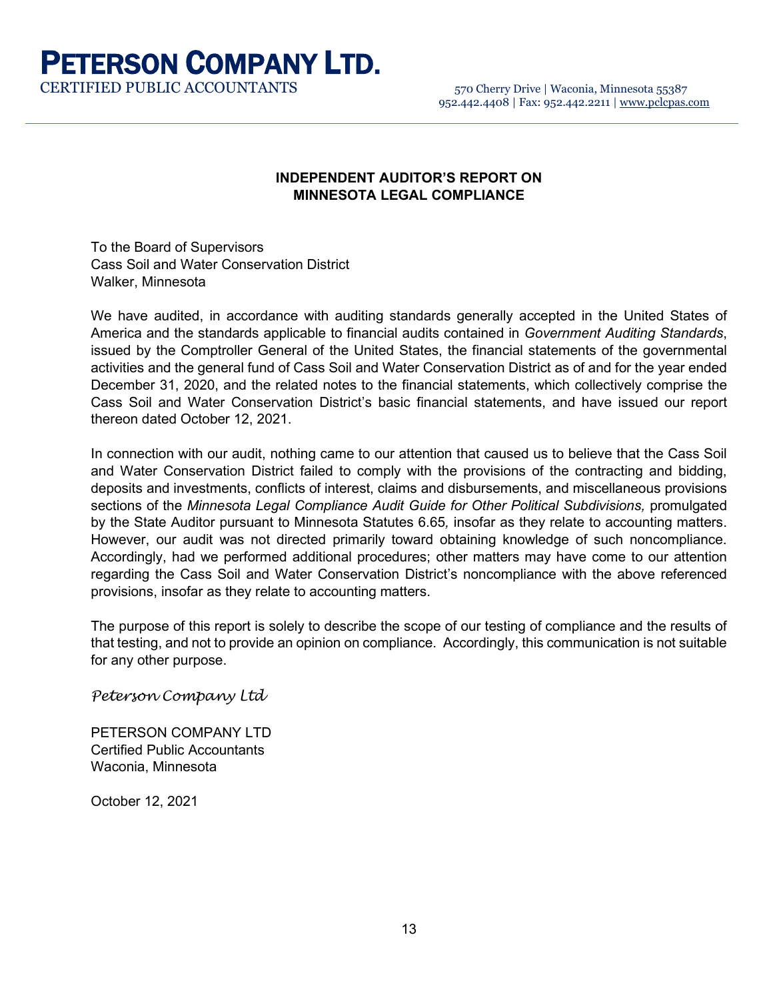**PETERSON COMPANY LTD.**<br>CERTIFIED PUBLIC ACCOUNTANTS 570 Cherry Drive | Waconia, Minnesota 55387

## **INDEPENDENT AUDITOR'S REPORT ON MINNESOTA LEGAL COMPLIANCE**

To the Board of Supervisors Cass Soil and Water Conservation District Walker, Minnesota

We have audited, in accordance with auditing standards generally accepted in the United States of America and the standards applicable to financial audits contained in *Government Auditing Standards*, issued by the Comptroller General of the United States, the financial statements of the governmental activities and the general fund of Cass Soil and Water Conservation District as of and for the year ended December 31, 2020, and the related notes to the financial statements, which collectively comprise the Cass Soil and Water Conservation District's basic financial statements, and have issued our report thereon dated October 12, 2021.

In connection with our audit, nothing came to our attention that caused us to believe that the Cass Soil and Water Conservation District failed to comply with the provisions of the contracting and bidding, deposits and investments, conflicts of interest, claims and disbursements, and miscellaneous provisions sections of the *Minnesota Legal Compliance Audit Guide for Other Political Subdivisions,* promulgated by the State Auditor pursuant to Minnesota Statutes 6.65*,* insofar as they relate to accounting matters. However, our audit was not directed primarily toward obtaining knowledge of such noncompliance. Accordingly, had we performed additional procedures; other matters may have come to our attention regarding the Cass Soil and Water Conservation District's noncompliance with the above referenced provisions, insofar as they relate to accounting matters.

The purpose of this report is solely to describe the scope of our testing of compliance and the results of that testing, and not to provide an opinion on compliance. Accordingly, this communication is not suitable for any other purpose.

*Peterson Company Ltd*

PETERSON COMPANY LTD Certified Public Accountants Waconia, Minnesota

October 12, 2021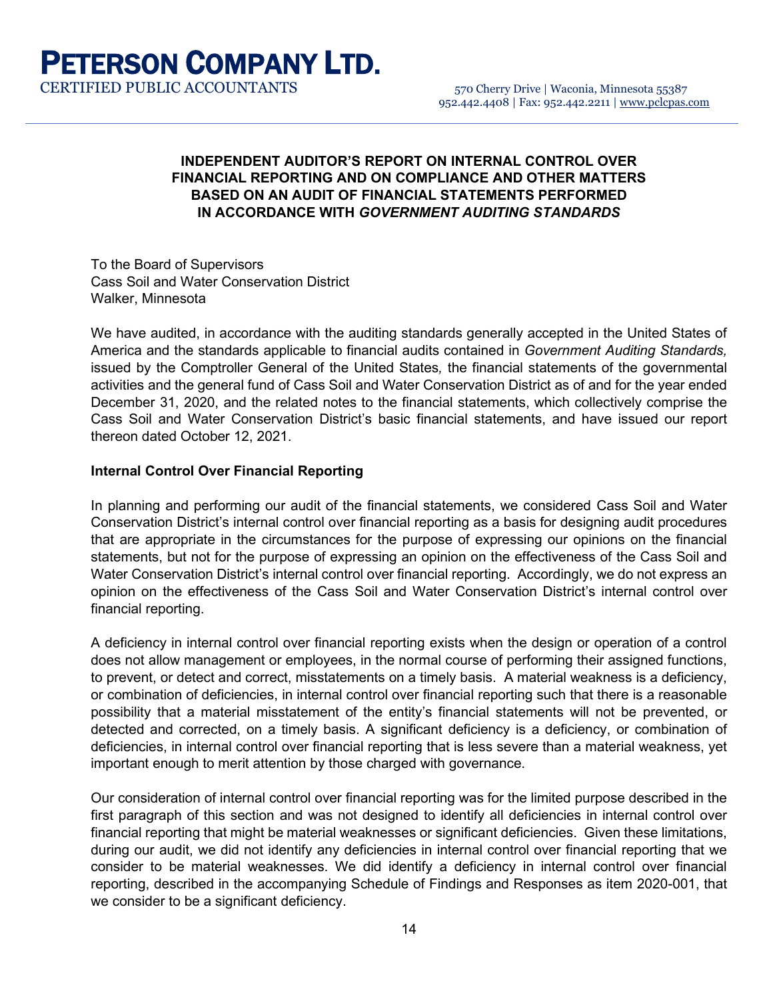## **INDEPENDENT AUDITOR'S REPORT ON INTERNAL CONTROL OVER FINANCIAL REPORTING AND ON COMPLIANCE AND OTHER MATTERS BASED ON AN AUDIT OF FINANCIAL STATEMENTS PERFORMED IN ACCORDANCE WITH** *GOVERNMENT AUDITING STANDARDS*

To the Board of Supervisors Cass Soil and Water Conservation District Walker, Minnesota

We have audited, in accordance with the auditing standards generally accepted in the United States of America and the standards applicable to financial audits contained in *Government Auditing Standards,* issued by the Comptroller General of the United States*,* the financial statements of the governmental activities and the general fund of Cass Soil and Water Conservation District as of and for the year ended December 31, 2020, and the related notes to the financial statements, which collectively comprise the Cass Soil and Water Conservation District's basic financial statements, and have issued our report thereon dated October 12, 2021.

## **Internal Control Over Financial Reporting**

In planning and performing our audit of the financial statements, we considered Cass Soil and Water Conservation District's internal control over financial reporting as a basis for designing audit procedures that are appropriate in the circumstances for the purpose of expressing our opinions on the financial statements, but not for the purpose of expressing an opinion on the effectiveness of the Cass Soil and Water Conservation District's internal control over financial reporting. Accordingly, we do not express an opinion on the effectiveness of the Cass Soil and Water Conservation District's internal control over financial reporting.

A deficiency in internal control over financial reporting exists when the design or operation of a control does not allow management or employees, in the normal course of performing their assigned functions, to prevent, or detect and correct, misstatements on a timely basis. A material weakness is a deficiency, or combination of deficiencies, in internal control over financial reporting such that there is a reasonable possibility that a material misstatement of the entity's financial statements will not be prevented, or detected and corrected, on a timely basis. A significant deficiency is a deficiency, or combination of deficiencies, in internal control over financial reporting that is less severe than a material weakness, yet important enough to merit attention by those charged with governance.

Our consideration of internal control over financial reporting was for the limited purpose described in the first paragraph of this section and was not designed to identify all deficiencies in internal control over financial reporting that might be material weaknesses or significant deficiencies. Given these limitations, during our audit, we did not identify any deficiencies in internal control over financial reporting that we consider to be material weaknesses. We did identify a deficiency in internal control over financial reporting, described in the accompanying Schedule of Findings and Responses as item 2020-001, that we consider to be a significant deficiency.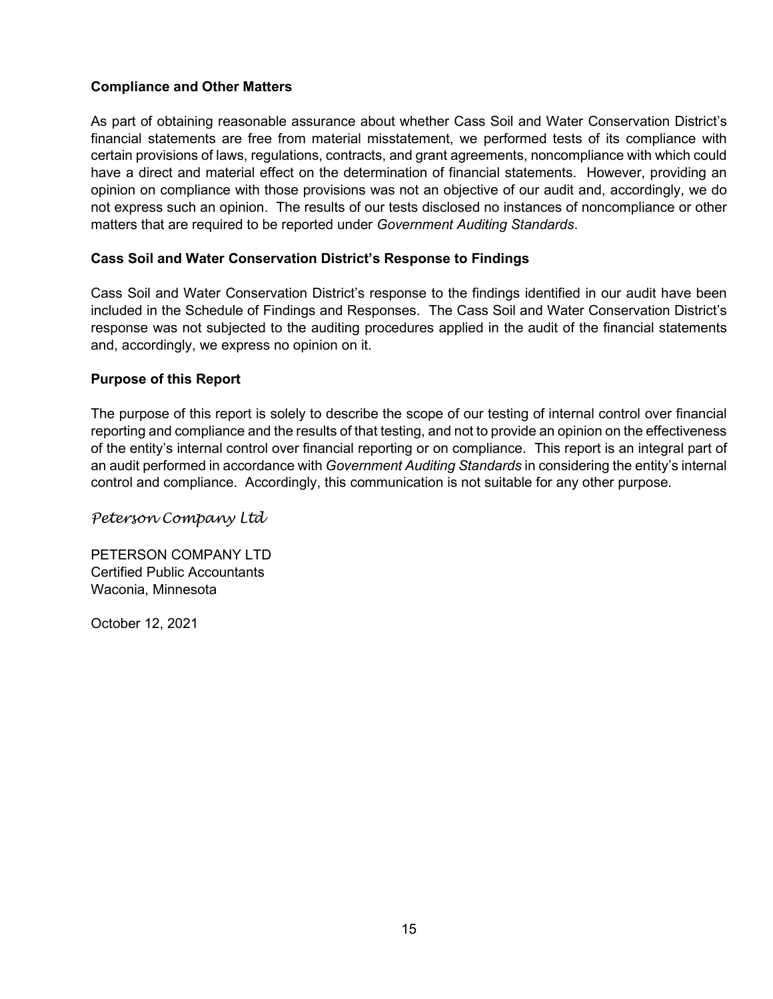## **Compliance and Other Matters**

As part of obtaining reasonable assurance about whether Cass Soil and Water Conservation District's financial statements are free from material misstatement, we performed tests of its compliance with certain provisions of laws, regulations, contracts, and grant agreements, noncompliance with which could have a direct and material effect on the determination of financial statements. However, providing an opinion on compliance with those provisions was not an objective of our audit and, accordingly, we do not express such an opinion. The results of our tests disclosed no instances of noncompliance or other matters that are required to be reported under *Government Auditing Standards*.

## **Cass Soil and Water Conservation District's Response to Findings**

Cass Soil and Water Conservation District's response to the findings identified in our audit have been included in the Schedule of Findings and Responses. The Cass Soil and Water Conservation District's response was not subjected to the auditing procedures applied in the audit of the financial statements and, accordingly, we express no opinion on it.

## **Purpose of this Report**

The purpose of this report is solely to describe the scope of our testing of internal control over financial reporting and compliance and the results of that testing, and not to provide an opinion on the effectiveness of the entity's internal control over financial reporting or on compliance. This report is an integral part of an audit performed in accordance with *Government Auditing Standards* in considering the entity's internal control and compliance. Accordingly, this communication is not suitable for any other purpose.

*Peterson Company Ltd*

PETERSON COMPANY LTD Certified Public Accountants Waconia, Minnesota

October 12, 2021